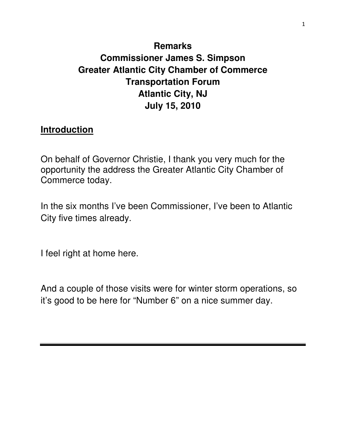# **Remarks Commissioner James S. Simpson Greater Atlantic City Chamber of Commerce Transportation Forum Atlantic City, NJ July 15, 2010**

#### **Introduction**

On behalf of Governor Christie, I thank you very much for the opportunity the address the Greater Atlantic City Chamber of Commerce today.

In the six months I've been Commissioner, I've been to Atlantic City five times already.

I feel right at home here.

And a couple of those visits were for winter storm operations, so it's good to be here for "Number 6" on a nice summer day.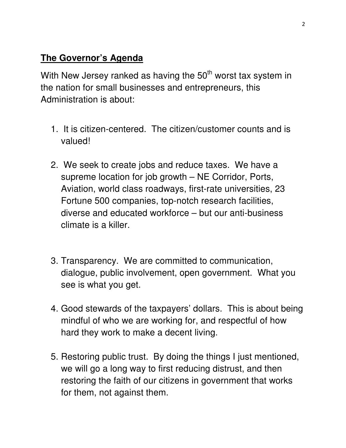### **The Governor's Agenda**

With New Jersey ranked as having the  $50<sup>th</sup>$  worst tax system in the nation for small businesses and entrepreneurs, this Administration is about:

- 1. It is citizen-centered. The citizen/customer counts and is valued!
- 2. We seek to create jobs and reduce taxes. We have a supreme location for job growth – NE Corridor, Ports, Aviation, world class roadways, first-rate universities, 23 Fortune 500 companies, top-notch research facilities, diverse and educated workforce – but our anti-business climate is a killer.
- 3. Transparency. We are committed to communication, dialogue, public involvement, open government. What you see is what you get.
- 4. Good stewards of the taxpayers' dollars. This is about being mindful of who we are working for, and respectful of how hard they work to make a decent living.
- 5. Restoring public trust. By doing the things I just mentioned, we will go a long way to first reducing distrust, and then restoring the faith of our citizens in government that works for them, not against them.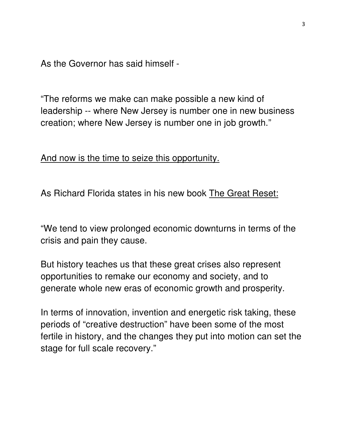As the Governor has said himself -

"The reforms we make can make possible a new kind of leadership -- where New Jersey is number one in new business creation; where New Jersey is number one in job growth."

And now is the time to seize this opportunity.

As Richard Florida states in his new book The Great Reset:

"We tend to view prolonged economic downturns in terms of the crisis and pain they cause.

But history teaches us that these great crises also represent opportunities to remake our economy and society, and to generate whole new eras of economic growth and prosperity.

In terms of innovation, invention and energetic risk taking, these periods of "creative destruction" have been some of the most fertile in history, and the changes they put into motion can set the stage for full scale recovery."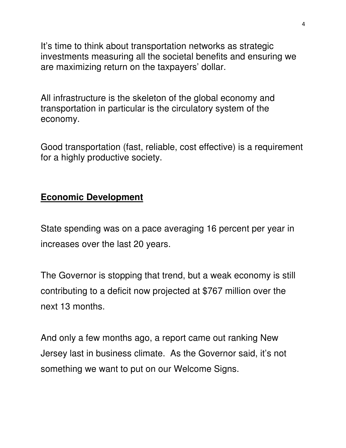It's time to think about transportation networks as strategic investments measuring all the societal benefits and ensuring we are maximizing return on the taxpayers' dollar.

All infrastructure is the skeleton of the global economy and transportation in particular is the circulatory system of the economy.

Good transportation (fast, reliable, cost effective) is a requirement for a highly productive society.

### **Economic Development**

State spending was on a pace averaging 16 percent per year in increases over the last 20 years.

The Governor is stopping that trend, but a weak economy is still contributing to a deficit now projected at \$767 million over the next 13 months.

And only a few months ago, a report came out ranking New Jersey last in business climate. As the Governor said, it's not something we want to put on our Welcome Signs.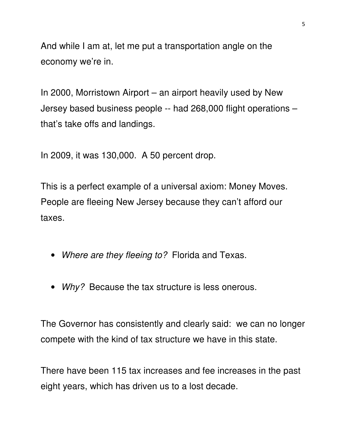And while I am at, let me put a transportation angle on the economy we're in.

In 2000, Morristown Airport – an airport heavily used by New Jersey based business people -- had 268,000 flight operations – that's take offs and landings.

In 2009, it was 130,000. A 50 percent drop.

This is a perfect example of a universal axiom: Money Moves. People are fleeing New Jersey because they can't afford our taxes.

- Where are they fleeing to? Florida and Texas.
- Why? Because the tax structure is less onerous.

The Governor has consistently and clearly said: we can no longer compete with the kind of tax structure we have in this state.

There have been 115 tax increases and fee increases in the past eight years, which has driven us to a lost decade.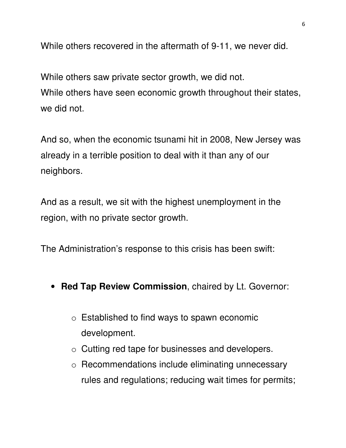While others recovered in the aftermath of 9-11, we never did.

While others saw private sector growth, we did not. While others have seen economic growth throughout their states, we did not.

And so, when the economic tsunami hit in 2008, New Jersey was already in a terrible position to deal with it than any of our neighbors.

And as a result, we sit with the highest unemployment in the region, with no private sector growth.

The Administration's response to this crisis has been swift:

- **Red Tap Review Commission**, chaired by Lt. Governor:
	- o Established to find ways to spawn economic development.
	- o Cutting red tape for businesses and developers.
	- o Recommendations include eliminating unnecessary rules and regulations; reducing wait times for permits;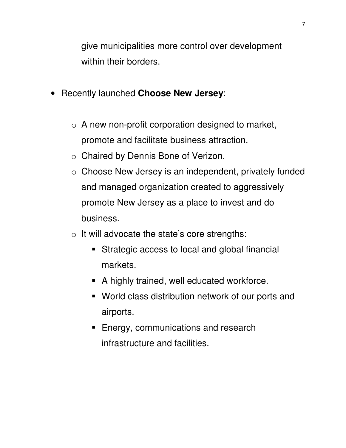give municipalities more control over development within their borders.

- Recently launched **Choose New Jersey**:
	- $\circ$  A new non-profit corporation designed to market, promote and facilitate business attraction.
	- o Chaired by Dennis Bone of Verizon.
	- o Choose New Jersey is an independent, privately funded and managed organization created to aggressively promote New Jersey as a place to invest and do business.
	- $\circ$  It will advocate the state's core strengths:
		- Strategic access to local and global financial markets.
		- A highly trained, well educated workforce.
		- World class distribution network of our ports and airports.
		- **Energy, communications and research** infrastructure and facilities.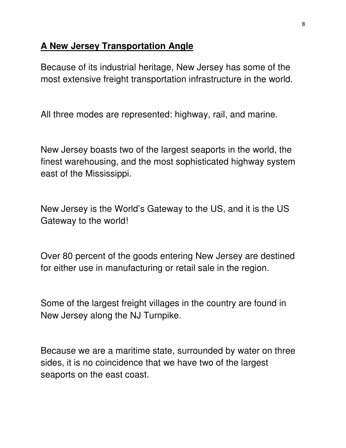#### **A New Jersey Transportation Angle**

Because of its industrial heritage, New Jersey has some of the most extensive freight transportation infrastructure in the world.

All three modes are represented: highway, rail, and marine.

New Jersey boasts two of the largest seaports in the world, the finest warehousing, and the most sophisticated highway system east of the Mississippi.

New Jersey is the World's Gateway to the US, and it is the US Gateway to the world!

Over 80 percent of the goods entering New Jersey are destined for either use in manufacturing or retail sale in the region.

Some of the largest freight villages in the country are found in New Jersey along the NJ Turnpike.

Because we are a maritime state, surrounded by water on three sides, it is no coincidence that we have two of the largest seaports on the east coast.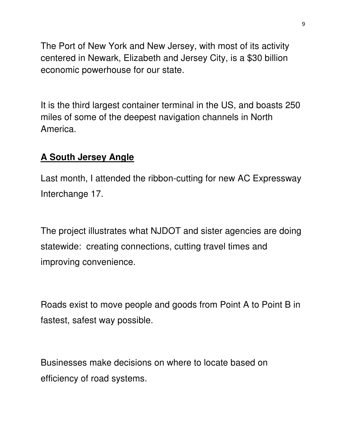The Port of New York and New Jersey, with most of its activity centered in Newark, Elizabeth and Jersey City, is a \$30 billion economic powerhouse for our state.

It is the third largest container terminal in the US, and boasts 250 miles of some of the deepest navigation channels in North America.

# **A South Jersey Angle**

Last month, I attended the ribbon-cutting for new AC Expressway Interchange 17.

The project illustrates what NJDOT and sister agencies are doing statewide: creating connections, cutting travel times and improving convenience.

Roads exist to move people and goods from Point A to Point B in fastest, safest way possible.

Businesses make decisions on where to locate based on efficiency of road systems.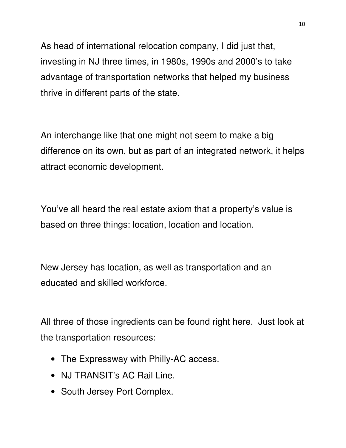As head of international relocation company, I did just that, investing in NJ three times, in 1980s, 1990s and 2000's to take advantage of transportation networks that helped my business thrive in different parts of the state.

An interchange like that one might not seem to make a big difference on its own, but as part of an integrated network, it helps attract economic development.

You've all heard the real estate axiom that a property's value is based on three things: location, location and location.

New Jersey has location, as well as transportation and an educated and skilled workforce.

All three of those ingredients can be found right here. Just look at the transportation resources:

- The Expressway with Philly-AC access.
- NJ TRANSIT's AC Rail Line.
- South Jersey Port Complex.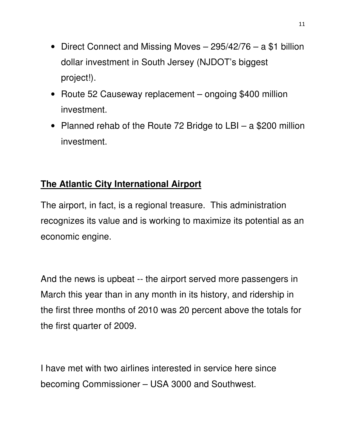- Direct Connect and Missing Moves 295/42/76 a \$1 billion dollar investment in South Jersey (NJDOT's biggest project!).
- Route 52 Causeway replacement ongoing \$400 million investment.
- Planned rehab of the Route 72 Bridge to LBI a \$200 million investment.

# **The Atlantic City International Airport**

The airport, in fact, is a regional treasure. This administration recognizes its value and is working to maximize its potential as an economic engine.

And the news is upbeat -- the airport served more passengers in March this year than in any month in its history, and ridership in the first three months of 2010 was 20 percent above the totals for the first quarter of 2009.

I have met with two airlines interested in service here since becoming Commissioner – USA 3000 and Southwest.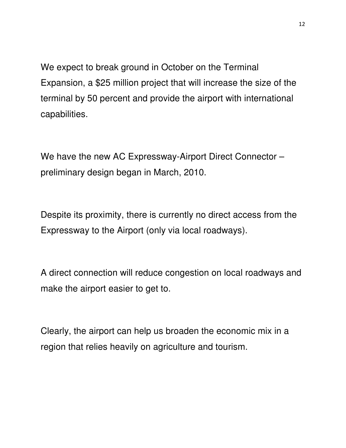We expect to break ground in October on the Terminal Expansion, a \$25 million project that will increase the size of the terminal by 50 percent and provide the airport with international capabilities.

We have the new AC Expressway-Airport Direct Connector – preliminary design began in March, 2010.

Despite its proximity, there is currently no direct access from the Expressway to the Airport (only via local roadways).

A direct connection will reduce congestion on local roadways and make the airport easier to get to.

Clearly, the airport can help us broaden the economic mix in a region that relies heavily on agriculture and tourism.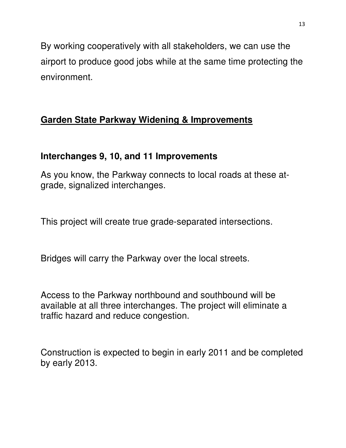By working cooperatively with all stakeholders, we can use the airport to produce good jobs while at the same time protecting the environment.

# **Garden State Parkway Widening & Improvements**

# **Interchanges 9, 10, and 11 Improvements**

As you know, the Parkway connects to local roads at these atgrade, signalized interchanges.

This project will create true grade-separated intersections.

Bridges will carry the Parkway over the local streets.

Access to the Parkway northbound and southbound will be available at all three interchanges. The project will eliminate a traffic hazard and reduce congestion.

Construction is expected to begin in early 2011 and be completed by early 2013.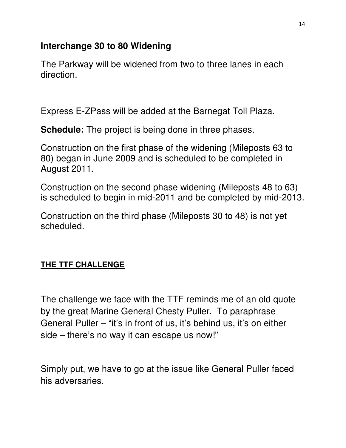### **Interchange 30 to 80 Widening**

The Parkway will be widened from two to three lanes in each direction.

Express E-ZPass will be added at the Barnegat Toll Plaza.

**Schedule:** The project is being done in three phases.

Construction on the first phase of the widening (Mileposts 63 to 80) began in June 2009 and is scheduled to be completed in August 2011.

Construction on the second phase widening (Mileposts 48 to 63) is scheduled to begin in mid-2011 and be completed by mid-2013.

Construction on the third phase (Mileposts 30 to 48) is not yet scheduled.

### **THE TTF CHALLENGE**

The challenge we face with the TTF reminds me of an old quote by the great Marine General Chesty Puller. To paraphrase General Puller – "it's in front of us, it's behind us, it's on either side – there's no way it can escape us now!"

Simply put, we have to go at the issue like General Puller faced his adversaries.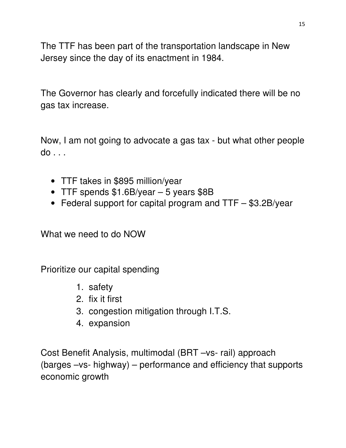The TTF has been part of the transportation landscape in New Jersey since the day of its enactment in 1984.

The Governor has clearly and forcefully indicated there will be no gas tax increase.

Now, I am not going to advocate a gas tax - but what other people do . . .

- TTF takes in \$895 million/year
- TTF spends \$1.6B/year 5 years \$8B
- Federal support for capital program and TTF \$3.2B/year

What we need to do NOW

Prioritize our capital spending

- 1. safety
- 2. fix it first
- 3. congestion mitigation through I.T.S.
- 4. expansion

Cost Benefit Analysis, multimodal (BRT –vs- rail) approach (barges –vs- highway) – performance and efficiency that supports economic growth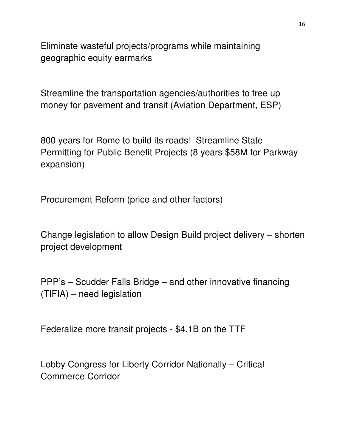Eliminate wasteful projects/programs while maintaining geographic equity earmarks

Streamline the transportation agencies/authorities to free up money for pavement and transit (Aviation Department, ESP)

800 years for Rome to build its roads! Streamline State Permitting for Public Benefit Projects (8 years \$58M for Parkway expansion)

Procurement Reform (price and other factors)

Change legislation to allow Design Build project delivery – shorten project development

PPP's – Scudder Falls Bridge – and other innovative financing (TIFIA) – need legislation

Federalize more transit projects - \$4.1B on the TTF

Lobby Congress for Liberty Corridor Nationally – Critical Commerce Corridor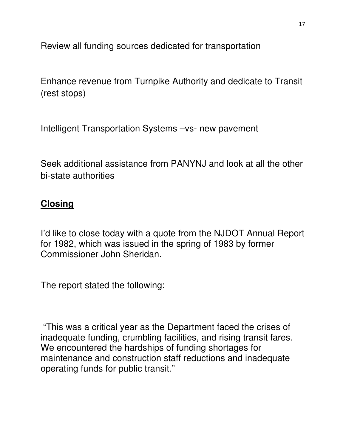Review all funding sources dedicated for transportation

Enhance revenue from Turnpike Authority and dedicate to Transit (rest stops)

Intelligent Transportation Systems –vs- new pavement

Seek additional assistance from PANYNJ and look at all the other bi-state authorities

### **Closing**

I'd like to close today with a quote from the NJDOT Annual Report for 1982, which was issued in the spring of 1983 by former Commissioner John Sheridan.

The report stated the following:

 "This was a critical year as the Department faced the crises of inadequate funding, crumbling facilities, and rising transit fares. We encountered the hardships of funding shortages for maintenance and construction staff reductions and inadequate operating funds for public transit."